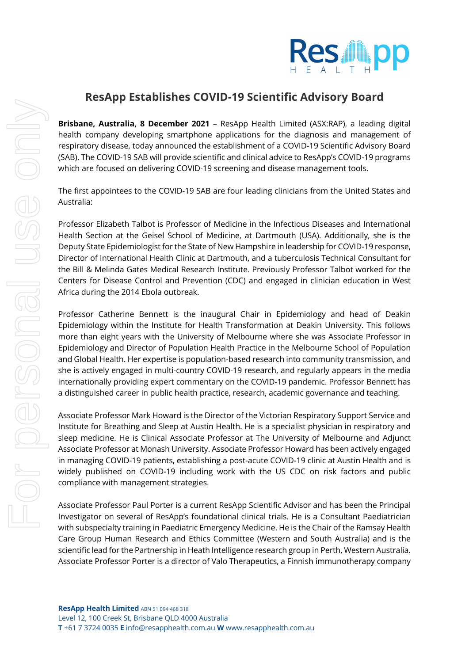

## **ResApp Establishes COVID-19 Scientific Advisory Board**

**Brisbane, Australia, 8 December 2021** – ResApp Health Limited (ASX:RAP), a leading digital health company developing smartphone applications for the diagnosis and management of respiratory disease, today announced the establishment of a COVID-19 Scientific Advisory Board (SAB). The COVID-19 SAB will provide scientific and clinical advice to ResApp's COVID-19 programs which are focused on delivering COVID-19 screening and disease management tools.

The first appointees to the COVID-19 SAB are four leading clinicians from the United States and Australia:

Professor Elizabeth Talbot is Professor of Medicine in the Infectious Diseases and International Health Section at the Geisel School of Medicine, at Dartmouth (USA). Additionally, she is the Deputy State Epidemiologist for the State of New Hampshire in leadership for COVID-19 response, Director of International Health Clinic at Dartmouth, and a tuberculosis Technical Consultant for the Bill & Melinda Gates Medical Research Institute. Previously Professor Talbot worked for the Centers for Disease Control and Prevention (CDC) and engaged in clinician education in West Africa during the 2014 Ebola outbreak.

Professor Catherine Bennett is the inaugural Chair in Epidemiology and head of Deakin Epidemiology within the Institute for Health Transformation at Deakin University. This follows more than eight years with the University of Melbourne where she was Associate Professor in Epidemiology and Director of Population Health Practice in the Melbourne School of Population and Global Health. Her expertise is population-based research into community transmission, and she is actively engaged in multi-country COVID-19 research, and regularly appears in the media internationally providing expert commentary on the COVID-19 pandemic. Professor Bennett has a distinguished career in public health practice, research, academic governance and teaching.

Associate Professor Mark Howard is the Director of the Victorian Respiratory Support Service and Institute for Breathing and Sleep at Austin Health. He is a specialist physician in respiratory and sleep medicine. He is Clinical Associate Professor at The University of Melbourne and Adjunct Associate Professor at Monash University. Associate Professor Howard has been actively engaged in managing COVID-19 patients, establishing a post-acute COVID-19 clinic at Austin Health and is widely published on COVID-19 including work with the US CDC on risk factors and public compliance with management strategies.

Associate Professor Paul Porter is a current ResApp Scientific Advisor and has been the Principal Investigator on several of ResApp's foundational clinical trials. He is a Consultant Paediatrician with subspecialty training in Paediatric Emergency Medicine. He is the Chair of the Ramsay Health Care Group Human Research and Ethics Committee (Western and South Australia) and is the scientific lead for the Partnership in Heath Intelligence research group in Perth, Western Australia. Associate Professor Porter is a director of Valo Therapeutics, a Finnish immunotherapy company